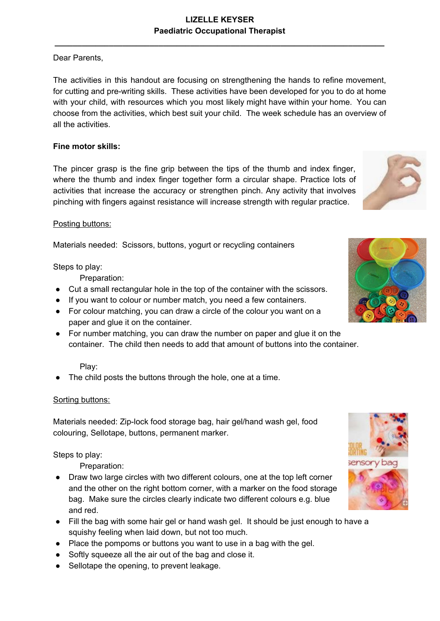## Dear Parents,

The activities in this handout are focusing on strengthening the hands to refine movement, for cutting and pre-writing skills. These activities have been developed for you to do at home with your child, with resources which you most likely might have within your home. You can choose from the activities, which best suit your child. The week schedule has an overview of all the activities.

## **Fine motor skills:**

The pincer grasp is the fine grip between the tips of the thumb and index finger, where the thumb and index finger together form a circular shape. Practice lots of activities that increase the accuracy or strengthen pinch. Any activity that involves pinching with fingers against resistance will increase strength with regular practice.

### Posting buttons:

Materials needed: Scissors, buttons, yogurt or recycling containers

Steps to play:

Preparation:

- Cut a small rectangular hole in the top of the container with the scissors.
- If you want to colour or number match, you need a few containers.
- For colour matching, you can draw a circle of the colour you want on a paper and glue it on the container.
- For number matching, you can draw the number on paper and glue it on the container. The child then needs to add that amount of buttons into the container.

### Play:

The child posts the buttons through the hole, one at a time.

### Sorting buttons:

Materials needed: Zip-lock food storage bag, hair gel/hand wash gel, food colouring, Sellotape, buttons, permanent marker.

Steps to play:

Preparation:

- Draw two large circles with two different colours, one at the top left corner and the other on the right bottom corner, with a marker on the food storage bag. Make sure the circles clearly indicate two different colours e.g. blue and red.
- Fill the bag with some hair gel or hand wash gel. It should be just enough to have a squishy feeling when laid down, but not too much.
- Place the pompoms or buttons you want to use in a bag with the gel.
- Softly squeeze all the air out of the bag and close it.
- Sellotape the opening, to prevent leakage.







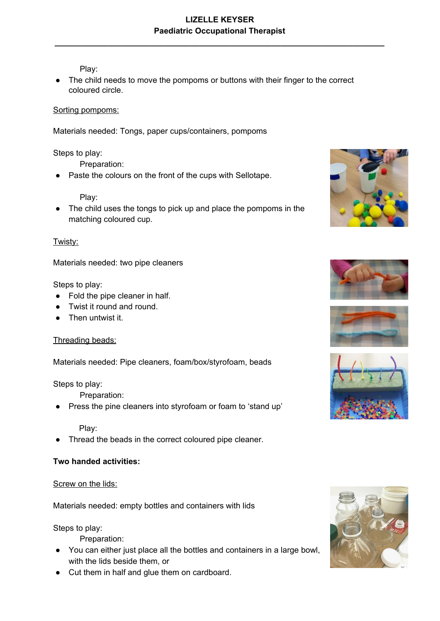Play:

● The child needs to move the pompoms or buttons with their finger to the correct coloured circle.

#### Sorting pompoms:

Materials needed: Tongs, paper cups/containers, pompoms

#### Steps to play:

Preparation:

Paste the colours on the front of the cups with Sellotape.

Play:

● The child uses the tongs to pick up and place the pompoms in the matching coloured cup.

#### Twisty:

Materials needed: two pipe cleaners

#### Steps to play:

- Fold the pipe cleaner in half.
- Twist it round and round.
- Then untwist it

#### Threading beads:

Materials needed: Pipe cleaners, foam/box/styrofoam, beads

#### Steps to play:

Preparation:

Press the pine cleaners into styrofoam or foam to 'stand up'

#### Play:

Thread the beads in the correct coloured pipe cleaner.

### **Two handed activities:**

#### Screw on the lids:

Materials needed: empty bottles and containers with lids

Steps to play:

Preparation:

- You can either just place all the bottles and containers in a large bowl, with the lids beside them, or
- Cut them in half and glue them on cardboard.









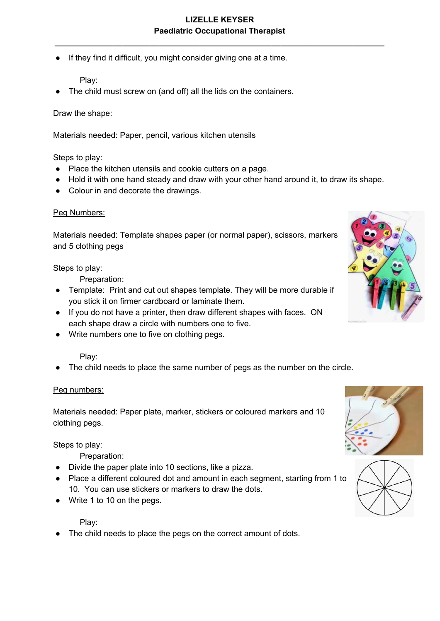**\_\_\_\_\_\_\_\_\_\_\_\_\_\_\_\_\_\_\_\_\_\_\_\_\_\_\_\_\_\_\_\_\_\_\_\_\_\_\_\_\_\_\_\_\_\_\_\_\_\_\_\_\_\_\_\_\_\_\_\_\_\_\_\_\_\_\_\_\_\_\_\_\_**

● If they find it difficult, you might consider giving one at a time.

Play:

The child must screw on (and off) all the lids on the containers.

#### Draw the shape:

Materials needed: Paper, pencil, various kitchen utensils

Steps to play:

- Place the kitchen utensils and cookie cutters on a page.
- Hold it with one hand steady and draw with your other hand around it, to draw its shape.
- Colour in and decorate the drawings.

#### Peg Numbers:

Materials needed: Template shapes paper (or normal paper), scissors, markers and 5 clothing pegs

Steps to play:

Preparation:

- Template: Print and cut out shapes template. They will be more durable if you stick it on firmer cardboard or laminate them.
- If you do not have a printer, then draw different shapes with faces. ON each shape draw a circle with numbers one to five.
- Write numbers one to five on clothing pegs.

Play:

The child needs to place the same number of pegs as the number on the circle.

#### Peg numbers:

Materials needed: Paper plate, marker, stickers or coloured markers and 10 clothing pegs.

Steps to play:

Preparation:

- Divide the paper plate into 10 sections, like a pizza.
- Place a different coloured dot and amount in each segment, starting from 1 to 10. You can use stickers or markers to draw the dots.
- Write 1 to 10 on the pegs.

Play:

The child needs to place the pegs on the correct amount of dots.





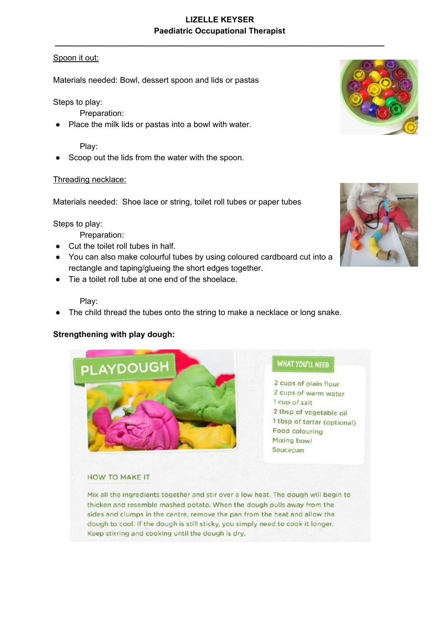**\_\_\_\_\_\_\_\_\_\_\_\_\_\_\_\_\_\_\_\_\_\_\_\_\_\_\_\_\_\_\_\_\_\_\_\_\_\_\_\_\_\_\_\_\_\_\_\_\_\_\_\_\_\_\_\_\_\_\_\_\_\_\_\_\_\_\_\_\_\_\_\_\_**

### Spoon it out:

Materials needed: Bowl, dessert spoon and lids or pastas

Steps to play:

Preparation:

Place the milk lids or pastas into a bowl with water.

#### Play:

Scoop out the lids from the water with the spoon.

#### Threading necklace:

Materials needed: Shoe lace or string, toilet roll tubes or paper tubes

Steps to play:

Preparation:

- Cut the toilet roll tubes in half.
- You can also make colourful tubes by using coloured cardboard cut into a rectangle and taping/glueing the short edges together.
- Tie a toilet roll tube at one end of the shoelace.

#### Play:

The child thread the tubes onto the string to make a necklace or long snake.

### **Strengthening with play dough:**



**WHAT YOU'LL NEED** 

2 cups of plain flour 2 cups of warm water 1 cup of salt 2 tbsp of vegetable oil 1 tbsp of tartar (optional) Food colouring Mixing bowl Saucepan

#### **HOW TO MAKE IT**

Mix all the ingredients together and stir over a low heat. The dough will begin to thicken and resemble mashed potato. When the dough pulls away from the sides and clumps in the centre, remove the pan from the heat and allow the dough to cool. If the dough is still sticky, you simply need to cook it longer. Keep stirring and cooking until the dough is dry.



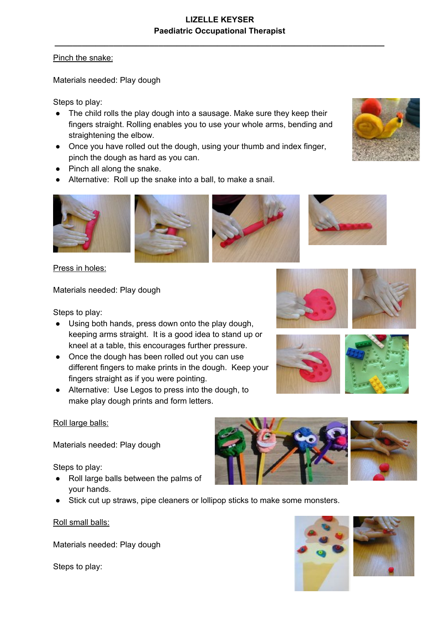## Pinch the snake:

Materials needed: Play dough

Steps to play:

- The child rolls the play dough into a sausage. Make sure they keep their fingers straight. Rolling enables you to use your whole arms, bending and straightening the elbow.
- Once you have rolled out the dough, using your thumb and index finger, pinch the dough as hard as you can.
- Pinch all along the snake.
- Alternative: Roll up the snake into a ball, to make a snail.







Press in holes:

Materials needed: Play dough

Steps to play:

- Using both hands, press down onto the play dough, keeping arms straight. It is a good idea to stand up or kneel at a table, this encourages further pressure.
- Once the dough has been rolled out you can use different fingers to make prints in the dough. Keep your fingers straight as if you were pointing.
- Alternative: Use Legos to press into the dough, to make play dough prints and form letters.

### Roll large balls:

Materials needed: Play dough

Steps to play:

- Roll large balls between the palms of your hands.
- Stick cut up straws, pipe cleaners or lollipop sticks to make some monsters.

Roll small balls:

Materials needed: Play dough

Steps to play:











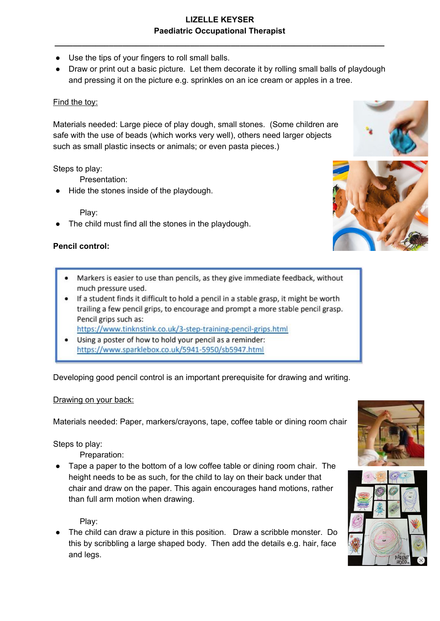**\_\_\_\_\_\_\_\_\_\_\_\_\_\_\_\_\_\_\_\_\_\_\_\_\_\_\_\_\_\_\_\_\_\_\_\_\_\_\_\_\_\_\_\_\_\_\_\_\_\_\_\_\_\_\_\_\_\_\_\_\_\_\_\_\_\_\_\_\_\_\_\_\_**

- Use the tips of your fingers to roll small balls.
- Draw or print out a basic picture. Let them decorate it by rolling small balls of playdough and pressing it on the picture e.g. sprinkles on an ice cream or apples in a tree.

### Find the toy:

Materials needed: Large piece of play dough, small stones. (Some children are safe with the use of beads (which works very well), others need larger objects such as small plastic insects or animals; or even pasta pieces.)

Steps to play:

Presentation:

Hide the stones inside of the playdough.

Play:

The child must find all the stones in the playdough.

## **Pencil control:**

- Markers is easier to use than pencils, as they give immediate feedback, without much pressure used.
- If a student finds it difficult to hold a pencil in a stable grasp, it might be worth trailing a few pencil grips, to encourage and prompt a more stable pencil grasp. Pencil grips such as:

https://www.tinknstink.co.uk/3-step-training-pencil-grips.html

Using a poster of how to hold your pencil as a reminder: https://www.sparklebox.co.uk/5941-5950/sb5947.html

Developing good pencil control is an important prerequisite for drawing and writing.

### Drawing on your back:

Materials needed: Paper, markers/crayons, tape, coffee table or dining room chair

Steps to play:

Preparation:

Tape a paper to the bottom of a low coffee table or dining room chair. The height needs to be as such, for the child to lay on their back under that chair and draw on the paper. This again encourages hand motions, rather than full arm motion when drawing.

Play:

The child can draw a picture in this position. Draw a scribble monster. Do this by scribbling a large shaped body. Then add the details e.g. hair, face and legs.







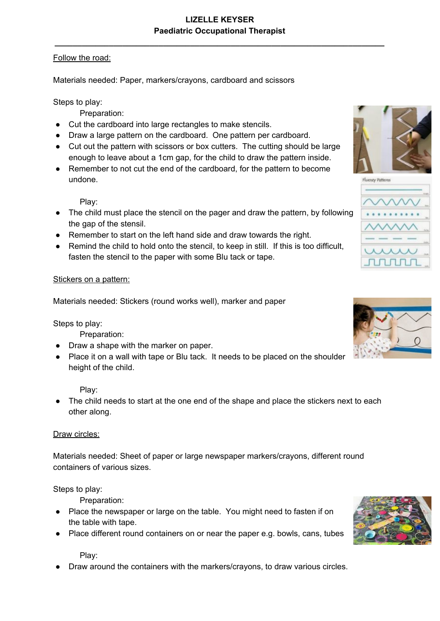## Follow the road:

Materials needed: Paper, markers/crayons, cardboard and scissors

## Steps to play:

Preparation:

- Cut the cardboard into large rectangles to make stencils.
- Draw a large pattern on the cardboard. One pattern per cardboard.
- Cut out the pattern with scissors or box cutters. The cutting should be large enough to leave about a 1cm gap, for the child to draw the pattern inside.
- Remember to not cut the end of the cardboard, for the pattern to become undone.

Play:

- The child must place the stencil on the pager and draw the pattern, by following the gap of the stensil.
- Remember to start on the left hand side and draw towards the right.
- Remind the child to hold onto the stencil, to keep in still. If this is too difficult, fasten the stencil to the paper with some Blu tack or tape.

#### Stickers on a pattern:

Materials needed: Stickers (round works well), marker and paper

Steps to play:

Preparation:

- Draw a shape with the marker on paper.
- Place it on a wall with tape or Blu tack. It needs to be placed on the shoulder height of the child.

Play:

• The child needs to start at the one end of the shape and place the stickers next to each other along.

#### Draw circles:

Materials needed: Sheet of paper or large newspaper markers/crayons, different round containers of various sizes.

### Steps to play:

Preparation:

- Place the newspaper or large on the table. You might need to fasten if on the table with tape.
- Place different round containers on or near the paper e.g. bowls, cans, tubes

Play:

Draw around the containers with the markers/crayons, to draw various circles.







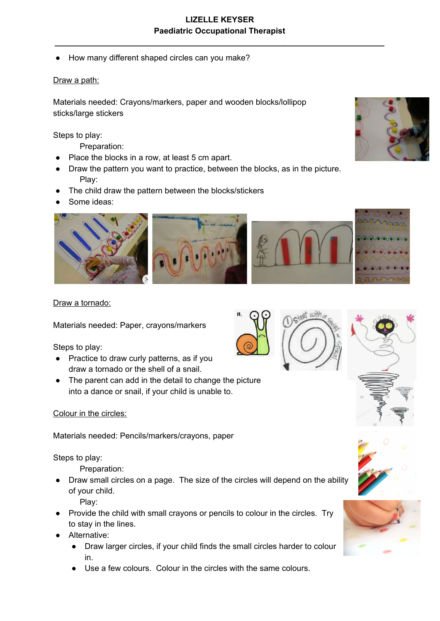● How many different shaped circles can you make?

### Draw a path:

Materials needed: Crayons/markers, paper and wooden blocks/lollipop sticks/large stickers

Steps to play:

Preparation:

- Place the blocks in a row, at least 5 cm apart.
- Draw the pattern you want to practice, between the blocks, as in the picture. Play:
- The child draw the pattern between the blocks/stickers
- Some ideas:



#### Draw a tornado:

Materials needed: Paper, crayons/markers

Steps to play:

- Practice to draw curly patterns, as if you draw a tornado or the shell of a snail.
- The parent can add in the detail to change the picture into a dance or snail, if your child is unable to.

#### Colour in the circles:

Materials needed: Pencils/markers/crayons, paper

Steps to play:

Preparation:

Draw small circles on a page. The size of the circles will depend on the ability of your child.

Play:

- Provide the child with small crayons or pencils to colour in the circles. Try to stay in the lines.
- Alternative:
	- Draw larger circles, if your child finds the small circles harder to colour in.
	- Use a few colours. Colour in the circles with the same colours.









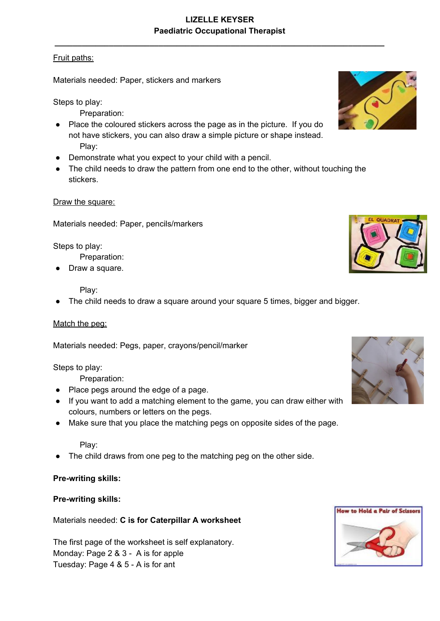**\_\_\_\_\_\_\_\_\_\_\_\_\_\_\_\_\_\_\_\_\_\_\_\_\_\_\_\_\_\_\_\_\_\_\_\_\_\_\_\_\_\_\_\_\_\_\_\_\_\_\_\_\_\_\_\_\_\_\_\_\_\_\_\_\_\_\_\_\_\_\_\_\_**

## Fruit paths:

Materials needed: Paper, stickers and markers

Steps to play:

Preparation:

- Place the coloured stickers across the page as in the picture. If you do not have stickers, you can also draw a simple picture or shape instead. Play:
- Demonstrate what you expect to your child with a pencil.
- The child needs to draw the pattern from one end to the other, without touching the stickers.

### Draw the square:

Materials needed: Paper, pencils/markers

Steps to play:

Preparation:

Draw a square.

#### Play:

The child needs to draw a square around your square 5 times, bigger and bigger.

#### Match the peg:

Materials needed: Pegs, paper, crayons/pencil/marker

Steps to play:

Preparation:

- Place pegs around the edge of a page.
- If you want to add a matching element to the game, you can draw either with colours, numbers or letters on the pegs.
- Make sure that you place the matching pegs on opposite sides of the page.

#### Play:

The child draws from one peg to the matching peg on the other side.

**Pre-writing skills:**

### **Pre-writing skills:**

Materials needed: **C is for Caterpillar A worksheet**

The first page of the worksheet is self explanatory. Monday: Page 2 & 3 - A is for apple Tuesday: Page 4 & 5 - A is for ant







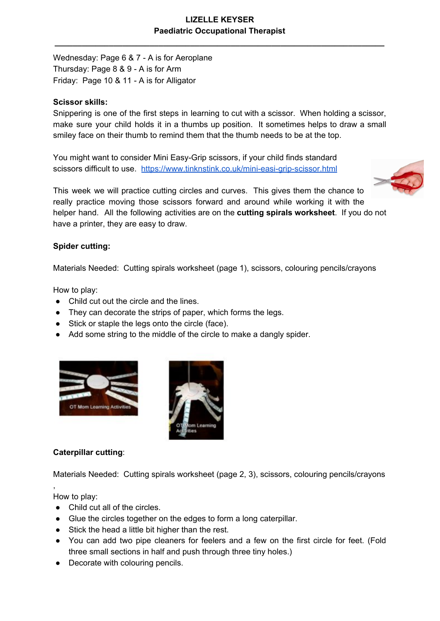**\_\_\_\_\_\_\_\_\_\_\_\_\_\_\_\_\_\_\_\_\_\_\_\_\_\_\_\_\_\_\_\_\_\_\_\_\_\_\_\_\_\_\_\_\_\_\_\_\_\_\_\_\_\_\_\_\_\_\_\_\_\_\_\_\_\_\_\_\_\_\_\_\_**

Wednesday: Page 6 & 7 - A is for Aeroplane Thursday: Page 8 & 9 - A is for Arm Friday: Page 10 & 11 - A is for Alligator

#### **Scissor skills:**

Snippering is one of the first steps in learning to cut with a scissor. When holding a scissor, make sure your child holds it in a thumbs up position. It sometimes helps to draw a small smiley face on their thumb to remind them that the thumb needs to be at the top.

You might want to consider Mini Easy-Grip scissors, if your child finds standard scissors difficult to use. <https://www.tinknstink.co.uk/mini-easi-grip-scissor.html>



This week we will practice cutting circles and curves. This gives them the chance to really practice moving those scissors forward and around while working it with the helper hand. All the following activities are on the **cutting spirals worksheet**. If you do not have a printer, they are easy to draw.

### **Spider cutting:**

Materials Needed: Cutting spirals worksheet (page 1), scissors, colouring pencils/crayons

How to play:

- Child cut out the circle and the lines.
- They can decorate the strips of paper, which forms the legs.
- Stick or staple the legs onto the circle (face).
- Add some string to the middle of the circle to make a dangly spider.





### **Caterpillar cutting**:

Materials Needed: Cutting spirals worksheet (page 2, 3), scissors, colouring pencils/crayons

How to play:

,

- Child cut all of the circles.
- Glue the circles together on the edges to form a long caterpillar.
- Stick the head a little bit higher than the rest.
- You can add two pipe cleaners for feelers and a few on the first circle for feet. (Fold three small sections in half and push through three tiny holes.)
- Decorate with colouring pencils.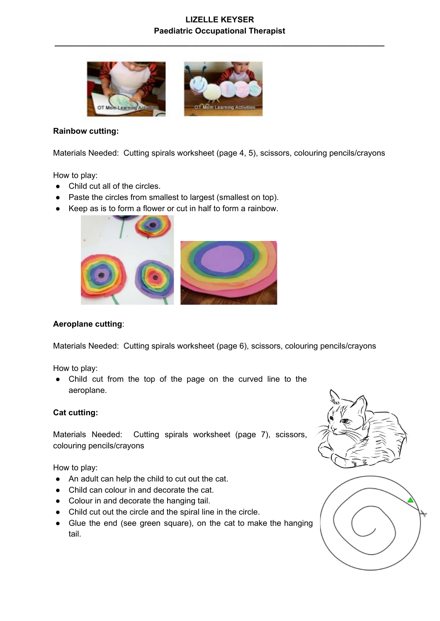**\_\_\_\_\_\_\_\_\_\_\_\_\_\_\_\_\_\_\_\_\_\_\_\_\_\_\_\_\_\_\_\_\_\_\_\_\_\_\_\_\_\_\_\_\_\_\_\_\_\_\_\_\_\_\_\_\_\_\_\_\_\_\_\_\_\_\_\_\_\_\_\_\_**



#### **Rainbow cutting:**

Materials Needed: Cutting spirals worksheet (page 4, 5), scissors, colouring pencils/crayons

How to play:

- Child cut all of the circles.
- Paste the circles from smallest to largest (smallest on top).
- Keep as is to form a flower or cut in half to form a rainbow.



### **Aeroplane cutting**:

Materials Needed: Cutting spirals worksheet (page 6), scissors, colouring pencils/crayons

How to play:

● Child cut from the top of the page on the curved line to the aeroplane.

#### **Cat cutting:**

Materials Needed: Cutting spirals worksheet (page 7), scissors, colouring pencils/crayons

How to play:

- An adult can help the child to cut out the cat.
- Child can colour in and decorate the cat.
- Colour in and decorate the hanging tail.
- Child cut out the circle and the spiral line in the circle.
- Glue the end (see green square), on the cat to make the hanging tail.